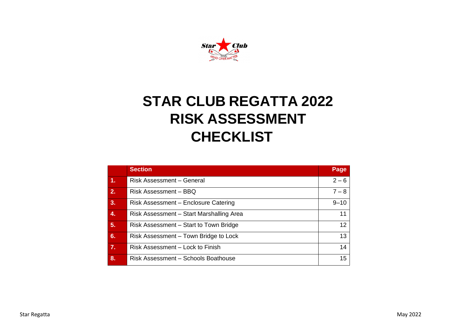

# **STAR CLUB REGATTA 2022 RISK ASSESSMENT CHECKLIST**

|    | <b>Section</b>                           | Page     |
|----|------------------------------------------|----------|
| 4. | <b>Risk Assessment - General</b>         | $2 - 6$  |
| 2. | Risk Assessment - BBQ                    | $7 - 8$  |
| 3. | Risk Assessment - Enclosure Catering     | $9 - 10$ |
| 4. | Risk Assessment - Start Marshalling Area | 11       |
| 5. | Risk Assessment – Start to Town Bridge   | 12       |
| 6. | Risk Assessment – Town Bridge to Lock    | 13       |
| 7. | Risk Assessment - Lock to Finish         | 14       |
| 8. | Risk Assessment - Schools Boathouse      | 15       |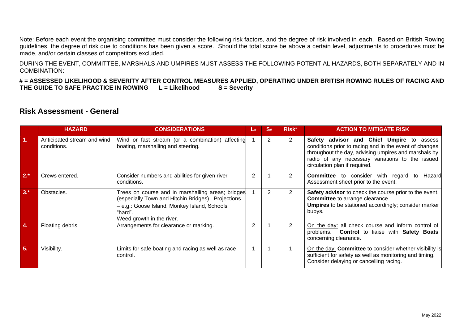Note: Before each event the organising committee must consider the following risk factors, and the degree of risk involved in each. Based on British Rowing guidelines, the degree of risk due to conditions has been given a score. Should the total score be above a certain level, adjustments to procedures must be made, and/or certain classes of competitors excluded.

DURING THE EVENT, COMMITTEE, MARSHALS AND UMPIRES MUST ASSESS THE FOLLOWING POTENTIAL HAZARDS, BOTH SEPARATELY AND IN COMBINATION:

**# = ASSESSED LIKELIHOOD & SEVERITY AFTER CONTROL MEASURES APPLIED, OPERATING UNDER BRITISH ROWING RULES OF RACING AND THE GUIDE TO SAFE PRACTICE IN ROWING L = Likelihood** 

#### **Risk Assessment - General**

|        | <b>HAZARD</b>                              | <b>CONSIDERATIONS</b>                                                                                                                                                                            | L# | S#             | $Risk$ <sup>#</sup> | <b>ACTION TO MITIGATE RISK</b>                                                                                                                                                                                                                  |
|--------|--------------------------------------------|--------------------------------------------------------------------------------------------------------------------------------------------------------------------------------------------------|----|----------------|---------------------|-------------------------------------------------------------------------------------------------------------------------------------------------------------------------------------------------------------------------------------------------|
| 1.     | Anticipated stream and wind<br>conditions. | Wind or fast stream (or a combination) affecting<br>boating, marshalling and steering.                                                                                                           |    | $\overline{2}$ | $\overline{2}$      | Safety advisor and Chief Umpire to assess<br>conditions prior to racing and in the event of changes<br>throughout the day, advising umpires and marshals by<br>radio of any necessary variations to the issued<br>circulation plan if required. |
| $2.*$  | Crews entered.                             | Consider numbers and abilities for given river<br>conditions.                                                                                                                                    | 2  |                | 2                   | to consider with regard<br>Hazard<br><b>Committee</b><br>to<br>Assessment sheet prior to the event.                                                                                                                                             |
| $3. *$ | Obstacles.                                 | Trees on course and in marshalling areas; bridges<br>(especially Town and Hitchin Bridges). Projections<br>- e.g.: Goose Island, Monkey Island, Schools'<br>"hard".<br>Weed growth in the river. |    | $\overline{2}$ | $\overline{2}$      | Safety advisor to check the course prior to the event.<br>Committee to arrange clearance.<br><b>Umpires</b> to be stationed accordingly; consider marker<br>buoys.                                                                              |
| 4.     | Floating debris                            | Arrangements for clearance or marking.                                                                                                                                                           | 2  |                | 2                   | On the day: all check course and inform control of<br>problems. Control to liaise with Safety Boats<br>concerning clearance.                                                                                                                    |
| 5.     | Visibility.                                | Limits for safe boating and racing as well as race<br>control.                                                                                                                                   |    |                |                     | On the day: Committee to consider whether visibility is<br>sufficient for safety as well as monitoring and timing.<br>Consider delaying or cancelling racing.                                                                                   |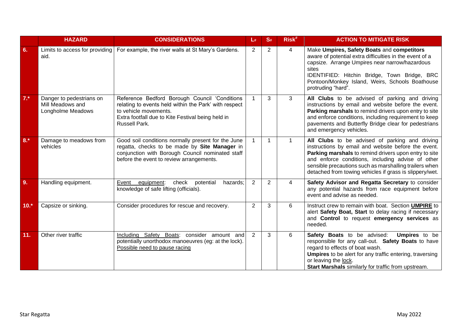|        | <b>HAZARD</b>                                                     | <b>CONSIDERATIONS</b>                                                                                                                                                                                 | L#             | S#             | Risk <sup>#</sup> | <b>ACTION TO MITIGATE RISK</b>                                                                                                                                                                                                                                                                                                           |
|--------|-------------------------------------------------------------------|-------------------------------------------------------------------------------------------------------------------------------------------------------------------------------------------------------|----------------|----------------|-------------------|------------------------------------------------------------------------------------------------------------------------------------------------------------------------------------------------------------------------------------------------------------------------------------------------------------------------------------------|
| 6.     | Limits to access for providing<br>aid.                            | For example, the river walls at St Mary's Gardens.                                                                                                                                                    | 2              | $\overline{2}$ | 4                 | Make Umpires, Safety Boats and competitors<br>aware of potential extra difficulties in the event of a<br>capsize. Arrange Umpires near narrow/hazardous<br>sites<br>IDENTIFIED: Hitchin Bridge, Town Bridge, BRC<br>Pontoon/Monkey Island, Weirs, Schools Boathouse<br>protruding "hard".                                                |
| $7.*$  | Danger to pedestrians on<br>Mill Meadows and<br>Longholme Meadows | Reference Bedford Borough Council 'Conditions<br>relating to events held within the Park' with respect<br>to vehicle movements.<br>Extra footfall due to Kite Festival being held in<br>Russell Park. |                | 3              | 3                 | All Clubs to be advised of parking and driving<br>instructions by email and website before the event.<br>Parking marshals to remind drivers upon entry to site<br>and enforce conditions, including requirement to keep<br>pavements and Butterfly Bridge clear for pedestrians<br>and emergency vehicles.                               |
| $8.*$  | Damage to meadows from<br>vehicles                                | Good soil conditions normally present for the June<br>regatta, checks to be made by Site Manager in<br>conjunction with Borough Council nominated staff<br>before the event to review arrangements.   | $\mathbf 1$    | $\mathbf{1}$   | $\mathbf{1}$      | All Clubs to be advised of parking and driving<br>instructions by email and website before the event.<br>Parking marshals to remind drivers upon entry to site<br>and enforce conditions, including advise of other<br>sensible precautions such as marshalling trailers when<br>detached from towing vehicles if grass is slippery/wet. |
| 9.     | Handling equipment.                                               | Event<br>check<br>potential<br>equipment:<br>hazards;<br>knowledge of safe lifting (officials).                                                                                                       | 2              | $\overline{2}$ | 4                 | Safety Advisor and Regatta Secretary to consider<br>any potential hazards from race equipment before<br>event and advise as needed.                                                                                                                                                                                                      |
| $10.*$ | Capsize or sinking.                                               | Consider procedures for rescue and recovery.                                                                                                                                                          | $\overline{2}$ | 3              | 6                 | Instruct crew to remain with boat. Section UMPIRE to<br>alert Safety Boat, Start to delay racing if necessary<br>and Control to request emergency services as<br>needed.                                                                                                                                                                 |
| 11.    | Other river traffic                                               | Including Safety Boats: consider amount and<br>potentially unorthodox manoeuvres (eg: at the lock).<br>Possible need to pause racing                                                                  | 2              | 3              | 6                 | Safety Boats to be advised:<br><b>Umpires</b> to be<br>responsible for any call-out. Safety Boats to have<br>regard to effects of boat wash.<br><b>Umpires</b> to be alert for any traffic entering, traversing<br>or leaving the lock.<br>Start Marshals similarly for traffic from upstream.                                           |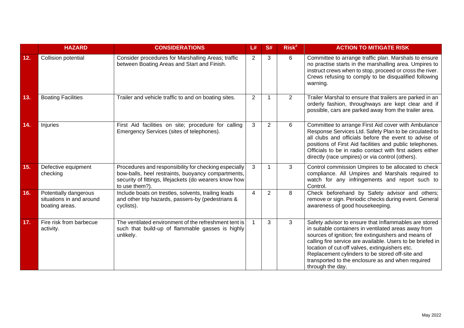|     | <b>HAZARD</b>                                                       | <b>CONSIDERATIONS</b>                                                                                                                                                                   | L#             | S#             | $Risk$ <sup>#</sup> | <b>ACTION TO MITIGATE RISK</b>                                                                                                                                                                                                                                                                                                                                                                                    |
|-----|---------------------------------------------------------------------|-----------------------------------------------------------------------------------------------------------------------------------------------------------------------------------------|----------------|----------------|---------------------|-------------------------------------------------------------------------------------------------------------------------------------------------------------------------------------------------------------------------------------------------------------------------------------------------------------------------------------------------------------------------------------------------------------------|
| 12. | <b>Collision potential</b>                                          | Consider procedures for Marshalling Areas; traffic<br>between Boating Areas and Start and Finish.                                                                                       | 2              | 3              | 6                   | Committee to arrange traffic plan. Marshals to ensure<br>no practise starts in the marshalling area. Umpires to<br>instruct crews when to stop, proceed or cross the river.<br>Crews refusing to comply to be disqualified following<br>warning.                                                                                                                                                                  |
| 13. | <b>Boating Facilities</b>                                           | Trailer and vehicle traffic to and on boating sites.                                                                                                                                    | $\overline{2}$ | 1              | $\overline{2}$      | Trailer Marshal to ensure that trailers are parked in an<br>orderly fashion, throughways are kept clear and if<br>possible, cars are parked away from the trailer area.                                                                                                                                                                                                                                           |
| 14. | Injuries                                                            | First Aid facilities on site; procedure for calling<br>Emergency Services (sites of telephones).                                                                                        | 3              | $\overline{2}$ | 6                   | Committee to arrange First Aid cover with Ambulance<br>Response Services Ltd. Safety Plan to be circulated to<br>all clubs and officials before the event to advise of<br>positions of First Aid facilities and public telephones.<br>Officials to be in radio contact with first aiders either<br>directly (race umpires) or via control (others).                                                               |
| 15. | Defective equipment<br>checking                                     | Procedures and responsibility for checking especially<br>bow-balls, heel restraints, buoyancy compartments,<br>security of fittings, lifejackets (do wearers know how<br>to use them?). | 3              | $\mathbf{1}$   | 3                   | Control commission Umpires to be allocated to check<br>compliance. All Umpires and Marshals required to<br>watch for any infringements and report such to<br>Control.                                                                                                                                                                                                                                             |
| 16. | Potentially dangerous<br>situations in and around<br>boating areas. | Include boats on trestles, solvents, trailing leads<br>and other trip hazards, passers-by (pedestrians &<br>cyclists).                                                                  | $\overline{4}$ | $\overline{2}$ | 8                   | Check beforehand by Safety advisor and others;<br>remove or sign. Periodic checks during event. General<br>awareness of good housekeeping.                                                                                                                                                                                                                                                                        |
| 17. | Fire risk from barbecue<br>activity.                                | The ventilated environment of the refreshment tent is<br>such that build-up of flammable gasses is highly<br>unlikely.                                                                  |                | 3              | 3                   | Safety advisor to ensure that Inflammables are stored<br>in suitable containers in ventilated areas away from<br>sources of ignition; fire extinguishers and means of<br>calling fire service are available. Users to be briefed in<br>location of cut-off valves, extinguishers etc.<br>Replacement cylinders to be stored off-site and<br>transported to the enclosure as and when required<br>through the day. |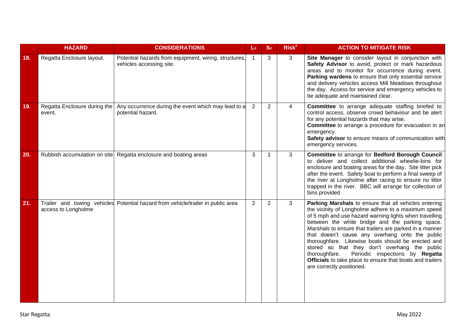|     | <b>HAZARD</b>                          | <b>CONSIDERATIONS</b>                                                             | L#             | S#             | Risk <sup>#</sup> | <b>ACTION TO MITIGATE RISK</b>                                                                                                                                                                                                                                                                                                                                                                                                                                                                                                                                                               |
|-----|----------------------------------------|-----------------------------------------------------------------------------------|----------------|----------------|-------------------|----------------------------------------------------------------------------------------------------------------------------------------------------------------------------------------------------------------------------------------------------------------------------------------------------------------------------------------------------------------------------------------------------------------------------------------------------------------------------------------------------------------------------------------------------------------------------------------------|
| 18. | Regatta Enclosure layout.              | Potential hazards from equipment, wiring, structures,<br>vehicles accessing site. | $\mathbf{1}$   | 3              | 3                 | Site Manager to consider layout in conjunction with<br>Safety Advisor to avoid, protect or mark hazardous<br>areas and to monitor for occurrence during event.<br>Parking wardens to ensure that only essential service<br>and delivery vehicles access Mill Meadows throughout<br>the day. Access for service and emergency vehicles to<br>be adequate and maintained clear.                                                                                                                                                                                                                |
| 19. | Regatta Enclosure during the<br>event. | Any occurrence during the event which may lead to a<br>potential hazard.          | $\overline{2}$ | $\overline{2}$ | 4                 | Committee to arrange adequate staffing briefed to<br>control access, observe crowd behaviour and be alert<br>for any potential hazards that may arise.<br>Committee to arrange a procedure for evacuation in an<br>emergency.<br>Safety advisor to ensure means of communication with<br>emergency services.                                                                                                                                                                                                                                                                                 |
| 20. |                                        | Rubbish accumulation on site Regatta enclosure and boating areas                  | 3              | 1              | 3                 | Committee to arrange for Bedford Borough Council<br>to deliver and collect additional wheelie-bins for<br>enclosure and boating areas for the day. Site litter pick<br>after the event. Safety boat to perform a final sweep of<br>the river at Longholme after racing to ensure no litter<br>trapped in the river. BBC will arrange for collection of<br>bins provided                                                                                                                                                                                                                      |
| 21. | access to Longholme                    | Trailer and towing vehicles Potential hazard from vehicle/trailer in public area  | $\overline{2}$ | $\overline{2}$ | 3                 | Parking Marshals to ensure that all vehicles entering<br>the vicinity of Longholme adhere to a maximum speed<br>of 5 mph and use hazard warning lights when travelling<br>between the white bridge and the parking space.<br>Marshals to ensure that trailers are parked in a manner<br>that doesn't cause any overhang onto the public<br>thoroughfare. Likewise boats should be erected and<br>stored so that they don't overhang the public<br>Periodic inspections by Regatta<br>thoroughfare.<br>Officials to take place to ensure that boats and trailers<br>are correctly positioned. |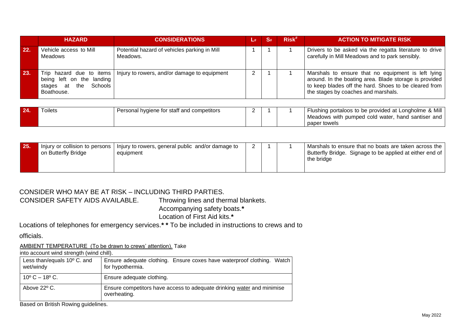|     | <b>HAZARD</b>                                                          | <b>CONSIDERATIONS</b>                                                   | $\frac{4}{4}$ | $\mathbf{S}$ # | $Risk^*$ | <b>ACTION TO MITIGATE RISK</b>                                                                                                                                                                               |
|-----|------------------------------------------------------------------------|-------------------------------------------------------------------------|---------------|----------------|----------|--------------------------------------------------------------------------------------------------------------------------------------------------------------------------------------------------------------|
| 22. | Vehicle access to Mill<br>Meadows                                      | Potential hazard of vehicles parking in Mill<br>Meadows.                |               |                |          | Drivers to be asked via the regatta literature to drive<br>carefully in Mill Meadows and to park sensibly.                                                                                                   |
| 23. | being left on the landing<br>Schools<br>the<br>stages at<br>Boathouse. | Trip hazard due to items   Injury to rowers, and/or damage to equipment |               |                |          | Marshals to ensure that no equipment is left lying<br>around. In the boating area. Blade storage is provided<br>to keep blades off the hard. Shoes to be cleared from<br>the stages by coaches and marshals. |

| 24. | Toilets | Personal hygiene for staff and competitors |  | <sup>1</sup> Flushing portaloos to be provided at Longholme & Mill |
|-----|---------|--------------------------------------------|--|--------------------------------------------------------------------|
|     |         |                                            |  | I Meadows with pumped cold water, hand santiser and I              |
|     |         |                                            |  | paper towels                                                       |

| 25. | on Butterfly Bridge | Injury or collision to persons   Injury to rowers, general public and/or damage to<br>equipment |  |  |  | Marshals to ensure that no boats are taken across the<br>Butterfly Bridge. Signage to be applied at either end of<br>the bridge |
|-----|---------------------|-------------------------------------------------------------------------------------------------|--|--|--|---------------------------------------------------------------------------------------------------------------------------------|
|-----|---------------------|-------------------------------------------------------------------------------------------------|--|--|--|---------------------------------------------------------------------------------------------------------------------------------|

#### CONSIDER WHO MAY BE AT RISK – INCLUDING THIRD PARTIES.

CONSIDER SAFETY AIDS AVAILABLE. Throwing lines and thermal blankets. Accompanying safety boats.**\*** 

Location of First Aid kits.**\*** 

Locations of telephones for emergency services.**\* \*** To be included in instructions to crews and to

officials.

AMBIENT TEMPERATURE (To be drawn to crews' attention). Take

into account wind strength (wind chill).

| Less than/equals $10^{\circ}$ C. and<br>wet/windy | Ensure adequate clothing. Ensure coxes have waterproof clothing. Watch<br>for hypothermia. |
|---------------------------------------------------|--------------------------------------------------------------------------------------------|
| $10^{\circ}$ C $-18^{\circ}$ C.                   | Ensure adequate clothing.                                                                  |
| Above $22^{\circ}$ C.                             | Ensure competitors have access to adequate drinking water and minimise<br>overheating.     |

Based on British Rowing guidelines.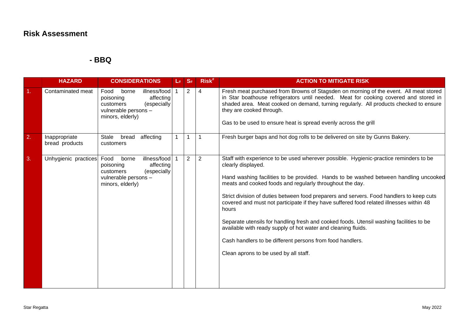**- BBQ** 

|    | <b>HAZARD</b>                   | <b>CONSIDERATIONS</b>                                                                                                           | $\mathsf{L}_{\#}$ | S#             | Risk <sup>#</sup> | <b>ACTION TO MITIGATE RISK</b>                                                                                                                                                                                                                                                                                                                                                                                                                                                                                                                                                                                                                                                                                                    |
|----|---------------------------------|---------------------------------------------------------------------------------------------------------------------------------|-------------------|----------------|-------------------|-----------------------------------------------------------------------------------------------------------------------------------------------------------------------------------------------------------------------------------------------------------------------------------------------------------------------------------------------------------------------------------------------------------------------------------------------------------------------------------------------------------------------------------------------------------------------------------------------------------------------------------------------------------------------------------------------------------------------------------|
| 1. | Contaminated meat               | borne<br>illness/food<br>Food<br>affecting<br>poisoning<br>(especially<br>customers<br>vulnerable persons -<br>minors, elderly) |                   | $\overline{2}$ | 4                 | Fresh meat purchased from Browns of Stagsden on morning of the event. All meat stored<br>in Star boathouse refrigerators until needed. Meat for cooking covered and stored in<br>shaded area. Meat cooked on demand, turning regularly. All products checked to ensure<br>they are cooked through.<br>Gas to be used to ensure heat is spread evenly across the grill                                                                                                                                                                                                                                                                                                                                                             |
| 2. | Inappropriate<br>bread products | Stale<br>bread<br>affecting<br>customers                                                                                        |                   |                |                   | Fresh burger baps and hot dog rolls to be delivered on site by Gunns Bakery.                                                                                                                                                                                                                                                                                                                                                                                                                                                                                                                                                                                                                                                      |
| 3. | Unhygienic practices            | illness/food<br>Food<br>borne<br>affecting<br>poisoning<br>(especially<br>customers<br>vulnerable persons -<br>minors, elderly) |                   | $\overline{2}$ | $\overline{2}$    | Staff with experience to be used wherever possible. Hygienic-practice reminders to be<br>clearly displayed.<br>Hand washing facilities to be provided. Hands to be washed between handling uncooked<br>meats and cooked foods and regularly throughout the day.<br>Strict division of duties between food preparers and servers. Food handlers to keep cuts<br>covered and must not participate if they have suffered food related illnesses within 48<br>hours<br>Separate utensils for handling fresh and cooked foods. Utensil washing facilities to be<br>available with ready supply of hot water and cleaning fluids.<br>Cash handlers to be different persons from food handlers.<br>Clean aprons to be used by all staff. |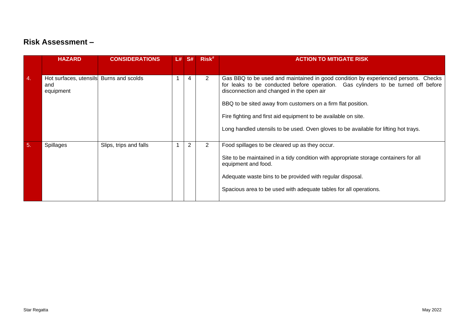|    | <b>HAZARD</b>                              | <b>CONSIDERATIONS</b>  | L# | S#             | Risk <sup>#</sup> | <b>ACTION TO MITIGATE RISK</b>                                                                                                                                                                                                                                                                                                                                                                                                                 |
|----|--------------------------------------------|------------------------|----|----------------|-------------------|------------------------------------------------------------------------------------------------------------------------------------------------------------------------------------------------------------------------------------------------------------------------------------------------------------------------------------------------------------------------------------------------------------------------------------------------|
|    |                                            |                        |    |                |                   |                                                                                                                                                                                                                                                                                                                                                                                                                                                |
| 4. | Hot surfaces, utensils<br>and<br>equipment | Burns and scolds       |    | 4              | $\overline{2}$    | Gas BBQ to be used and maintained in good condition by experienced persons. Checks<br>for leaks to be conducted before operation. Gas cylinders to be turned off before<br>disconnection and changed in the open air<br>BBQ to be sited away from customers on a firm flat position.<br>Fire fighting and first aid equipment to be available on site.<br>Long handled utensils to be used. Oven gloves to be available for lifting hot trays. |
| 5. | <b>Spillages</b>                           | Slips, trips and falls |    | $\overline{2}$ | $\overline{2}$    | Food spillages to be cleared up as they occur.<br>Site to be maintained in a tidy condition with appropriate storage containers for all<br>equipment and food.<br>Adequate waste bins to be provided with regular disposal.<br>Spacious area to be used with adequate tables for all operations.                                                                                                                                               |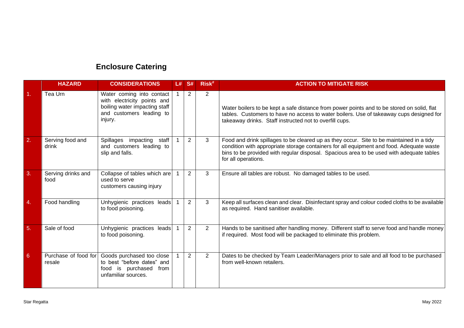# **Enclosure Catering**

|    | <b>HAZARD</b>                  | <b>CONSIDERATIONS</b>                                                                                                            | L# | <b>S#</b>      | $Risk$ <sup>#</sup> | <b>ACTION TO MITIGATE RISK</b>                                                                                                                                                                                                                                                                          |
|----|--------------------------------|----------------------------------------------------------------------------------------------------------------------------------|----|----------------|---------------------|---------------------------------------------------------------------------------------------------------------------------------------------------------------------------------------------------------------------------------------------------------------------------------------------------------|
| 1. | Tea Urn                        | Water coming into contact<br>with electricity points and<br>boiling water impacting staff<br>and customers leading to<br>injury. |    | 2              | $\overline{2}$      | Water boilers to be kept a safe distance from power points and to be stored on solid, flat<br>tables. Customers to have no access to water boilers. Use of takeaway cups designed for<br>takeaway drinks. Staff instructed not to overfill cups.                                                        |
| 2. | Serving food and<br>drink      | Spillages impacting<br>staff<br>and customers leading to<br>slip and falls.                                                      |    | 2              | 3                   | Food and drink spillages to be cleared up as they occur. Site to be maintained in a tidy<br>condition with appropriate storage containers for all equipment and food. Adequate waste<br>bins to be provided with regular disposal. Spacious area to be used with adequate tables<br>for all operations. |
| 3. | Serving drinks and<br>food     | Collapse of tables which are<br>used to serve<br>customers causing injury                                                        |    | $\overline{2}$ | 3                   | Ensure all tables are robust. No damaged tables to be used.                                                                                                                                                                                                                                             |
| 4. | Food handling                  | Unhygienic practices leads<br>to food poisoning.                                                                                 |    | $\overline{2}$ | 3                   | Keep all surfaces clean and clear. Disinfectant spray and colour coded cloths to be available<br>as required. Hand sanitiser available.                                                                                                                                                                 |
| 5. | Sale of food                   | Unhygienic practices leads<br>to food poisoning.                                                                                 |    | 2              | $\overline{2}$      | Hands to be sanitised after handling money. Different staff to serve food and handle money<br>if required. Most food will be packaged to eliminate this problem.                                                                                                                                        |
| 6  | Purchase of food for<br>resale | Goods purchased too close<br>to best "before dates" and<br>food is purchased<br>from<br>unfamiliar sources.                      |    | 2              | $\overline{2}$      | Dates to be checked by Team Leader/Managers prior to sale and all food to be purchased<br>from well-known retailers.                                                                                                                                                                                    |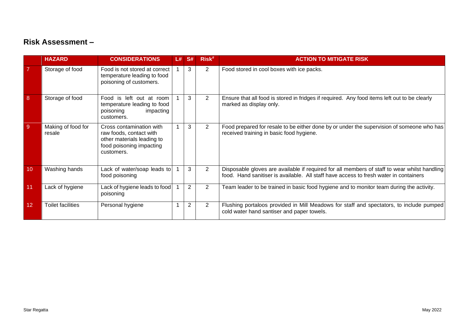|            | <b>HAZARD</b>                | <b>CONSIDERATIONS</b>                                                                                                       | L# | <b>S#</b>      | Risk <sup>#</sup> | <b>ACTION TO MITIGATE RISK</b>                                                                                                                                                        |
|------------|------------------------------|-----------------------------------------------------------------------------------------------------------------------------|----|----------------|-------------------|---------------------------------------------------------------------------------------------------------------------------------------------------------------------------------------|
|            | Storage of food              | Food is not stored at correct<br>temperature leading to food<br>poisoning of customers.                                     |    | 3              | 2                 | Food stored in cool boxes with ice packs.                                                                                                                                             |
| 8          | Storage of food              | Food is left out at room<br>temperature leading to food<br>poisoning<br>impacting<br>customers.                             |    | 3              | $\overline{2}$    | Ensure that all food is stored in fridges if required. Any food items left out to be clearly<br>marked as display only.                                                               |
| $\sqrt{9}$ | Making of food for<br>resale | Cross contamination with<br>raw foods, contact with<br>other materials leading to<br>food poisoning impacting<br>customers. |    | 3              | $\overline{2}$    | Food prepared for resale to be either done by or under the supervision of someone who has<br>received training in basic food hygiene.                                                 |
| 10         | Washing hands                | Lack of water/soap leads to<br>food poisoning                                                                               |    | 3              | $\overline{2}$    | Disposable gloves are available if required for all members of staff to wear whilst handling<br>food. Hand sanitiser is available. All staff have access to fresh water in containers |
| 11         | Lack of hygiene              | Lack of hygiene leads to food<br>poisoning                                                                                  |    | $\overline{2}$ | 2                 | Team leader to be trained in basic food hygiene and to monitor team during the activity.                                                                                              |
| 12         | <b>Toilet facilities</b>     | Personal hygiene                                                                                                            |    | $\overline{2}$ | $\overline{2}$    | Flushing portaloos provided in Mill Meadows for staff and spectators, to include pumped<br>cold water hand santiser and paper towels.                                                 |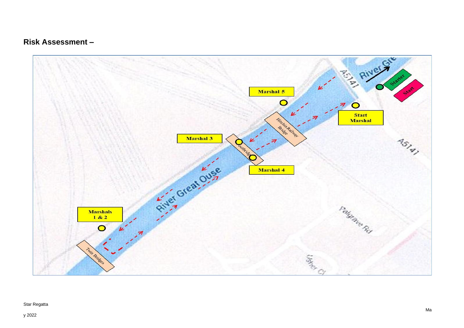

#### Star Regatta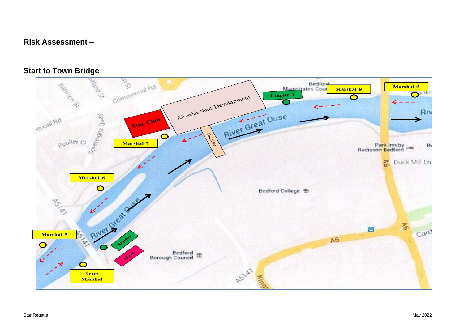

#### **Start to Town Bridge**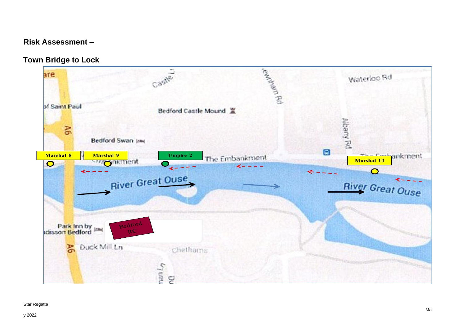**Town Bridge to Lock** 



#### Star Regatta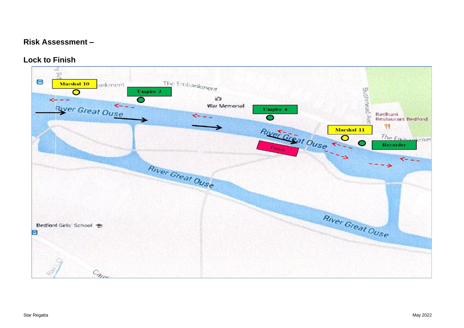#### **Lock to Finish**